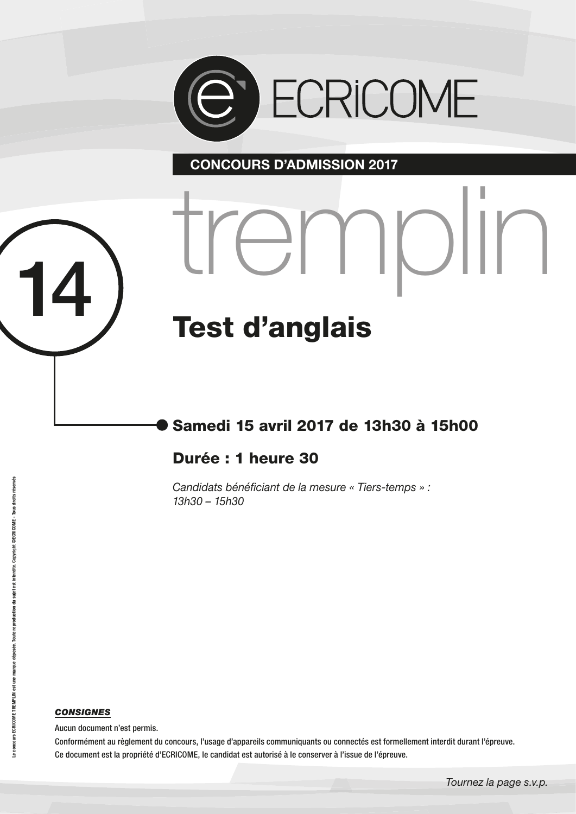

<sup>14</sup> tremplin

 **CONCOURS D'ADMISSION 2017**

# Test d'anglais

# Samedi 15 avril 2017 de 13h30 à 15h00

### Durée : 1 heure 30

*Candidats bénéficiant de la mesure « Tiers-temps » : 13h30 – 15h30*

#### *CONSIGNES*

Aucun document n'est permis.

Conformément au règlement du concours, l'usage d'appareils communiquants ou connectés est formellement interdit durant l'épreuve. Ce document est la propriété d'ECRICOME, le candidat est autorisé à le conserver à l'issue de l'épreuve.

*Tournez la page s.v.p.*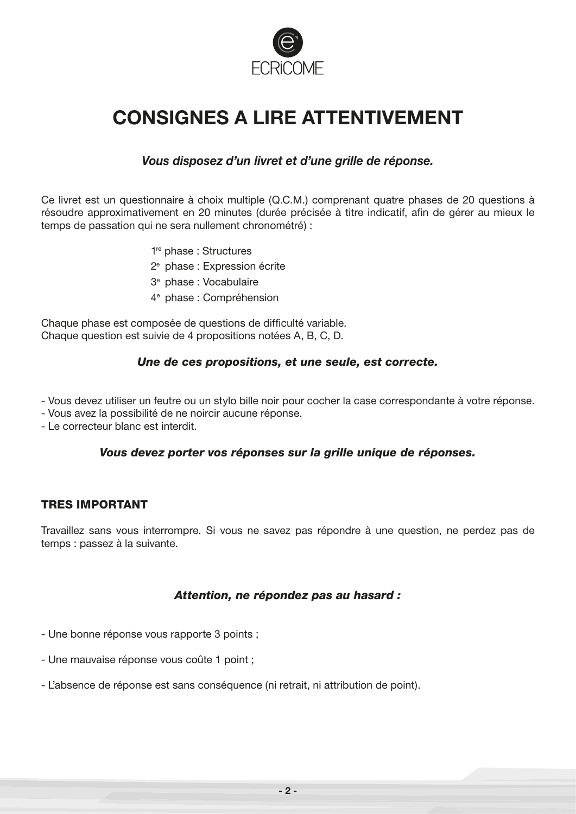

# **CONSIGNES A LIRE ATTENTIVEMENT**

#### *Vous disposez d'un livret et d'une grille de réponse.*

Ce livret est un questionnaire à choix multiple (Q.C.M.) comprenant quatre phases de 20 questions à résoudre approximativement en 20 minutes (durée précisée à titre indicatif, afin de gérer au mieux le temps de passation qui ne sera nullement chronométré) :

- 1re phase : Structures
- 2e phase : Expression écrite
- 3e phase : Vocabulaire
- 4e phase : Compréhension

Chaque phase est composée de questions de difficulté variable. Chaque question est suivie de 4 propositions notées A, B, C, D.

#### *Une de ces propositions, et une seule, est correcte.*

- Vous devez utiliser un feutre ou un stylo bille noir pour cocher la case correspondante à votre réponse.

- Vous avez la possibilité de ne noircir aucune réponse.
- Le correcteur blanc est interdit.

#### *Vous devez porter vos réponses sur la grille unique de réponses.*

#### TRES IMPORTANT

Travaillez sans vous interrompre. Si vous ne savez pas répondre à une question, ne perdez pas de temps : passez à la suivante.

#### *Attention, ne répondez pas au hasard :*

- Une bonne réponse vous rapporte 3 points ;
- Une mauvaise réponse vous coûte 1 point ;
- L'absence de réponse est sans conséquence (ni retrait, ni attribution de point).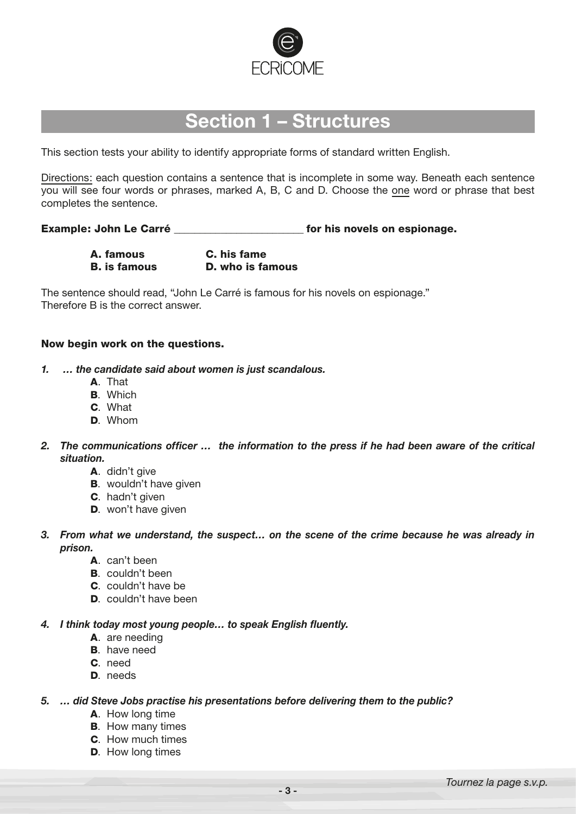

# **Section 1 – Structures**

This section tests your ability to identify appropriate forms of standard written English.

Directions: each question contains a sentence that is incomplete in some way. Beneath each sentence you will see four words or phrases, marked A, B, C and D. Choose the one word or phrase that best completes the sentence.

Example: John Le Carré \_\_\_\_\_\_\_\_\_\_\_\_\_\_\_\_\_\_\_\_\_\_\_\_\_ for his novels on espionage.

A. famous C. his fame

B. is famous D. who is famous

The sentence should read, "John Le Carré is famous for his novels on espionage." Therefore B is the correct answer.

#### Now begin work on the questions.

- *1. … the candidate said about women is just scandalous.*
	- A. That
	- B. Which
	- C. What
	- D. Whom
- *2. The communications officer … the information to the press if he had been aware of the critical situation.*
	- A. didn't give
	- **B.** wouldn't have given
	- C. hadn't given
	- D. won't have given
- *3. From what we understand, the suspect… on the scene of the crime because he was already in prison.*
	- A. can't been
	- B. couldn't been
	- C. couldn't have be
	- D. couldn't have been

#### *4. I think today most young people… to speak English fluently.*

- A. are needing
- **B.** have need
- C. need
- D. needs

#### *5. … did Steve Jobs practise his presentations before delivering them to the public?*

- A. How long time
- **B.** How many times
- C. How much times
- D. How long times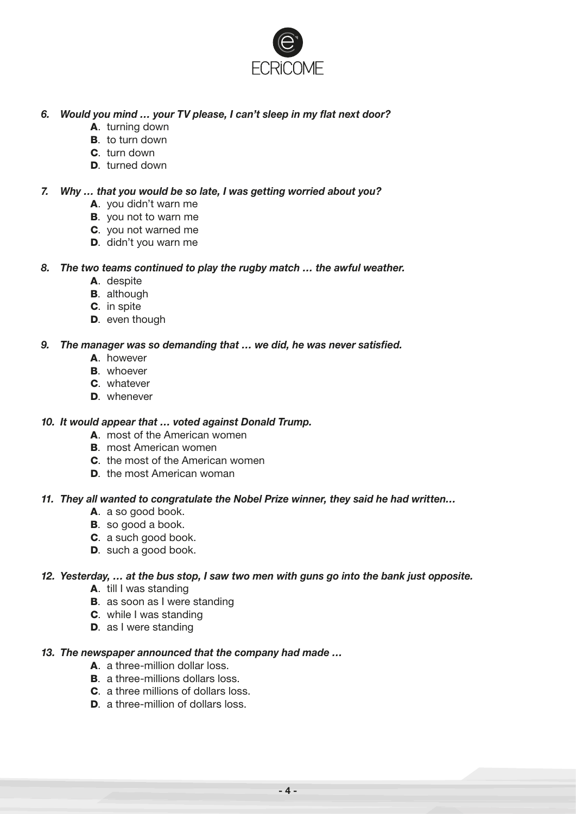

#### *6. Would you mind … your TV please, I can't sleep in my flat next door?*

- A. turning down
- **B**. to turn down
- C. turn down
- D. turned down

#### *7. Why … that you would be so late, I was getting worried about you?*

- A. you didn't warn me
- B. you not to warn me
- C. you not warned me
- D. didn't you warn me

#### *8. The two teams continued to play the rugby match … the awful weather.*

- A. despite
- **B.** although
- C. in spite
- D. even though

#### *9. The manager was so demanding that … we did, he was never satisfied.*

- A. however
- **B.** whoever
- C. whatever
- D. whenever

#### *10. It would appear that … voted against Donald Trump.*

- A. most of the American women
- B. most American women
- C. the most of the American women
- D. the most American woman

#### *11. They all wanted to congratulate the Nobel Prize winner, they said he had written…*

- A. a so good book.
- **B**. so good a book.
- C. a such good book.
- D. such a good book.

#### *12. Yesterday, … at the bus stop, I saw two men with guns go into the bank just opposite.*

- A. till I was standing
- **B.** as soon as I were standing
- C. while I was standing
- D. as I were standing

#### *13. The newspaper announced that the company had made …*

- A. a three-million dollar loss.
- **B.** a three-millions dollars loss.
- C. a three millions of dollars loss.
- D. a three-million of dollars loss.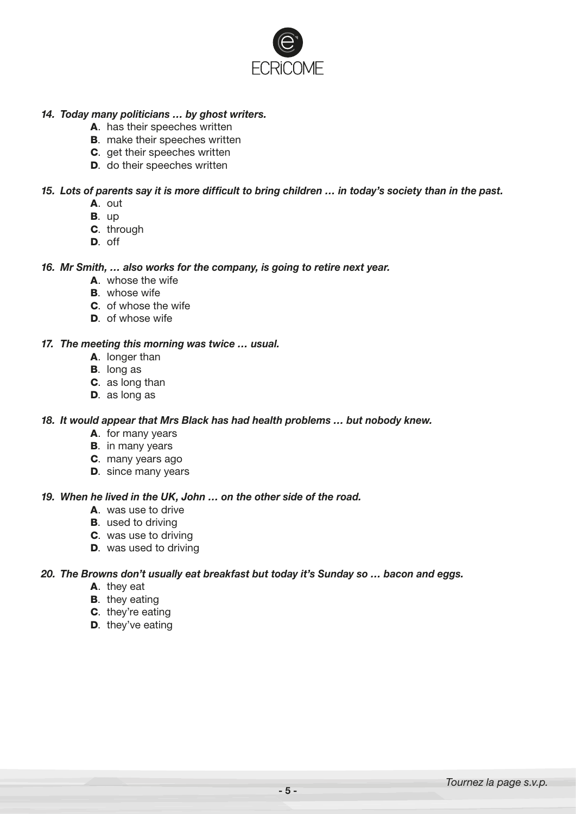

#### *14. Today many politicians … by ghost writers.*

- A. has their speeches written
- **B.** make their speeches written
- C. get their speeches written
- D. do their speeches written

#### *15. Lots of parents say it is more difficult to bring children … in today's society than in the past.*

- A. out
- B. up
- C. through
- D. off

#### *16. Mr Smith, … also works for the company, is going to retire next year.*

- A. whose the wife
- **B.** whose wife
- C. of whose the wife
- D. of whose wife

#### *17. The meeting this morning was twice … usual.*

- A. longer than
- B. long as
- C. as long than
- D. as long as

#### *18. It would appear that Mrs Black has had health problems … but nobody knew.*

- A. for many years
- **B.** in many years
- C. many years ago
- **D.** since many years

#### *19. When he lived in the UK, John … on the other side of the road.*

- A. was use to drive
- **B.** used to driving
- C. was use to driving
- D. was used to driving

#### *20. The Browns don't usually eat breakfast but today it's Sunday so … bacon and eggs.*

- A. they eat
- **B.** they eating
- C. they're eating
- D. they've eating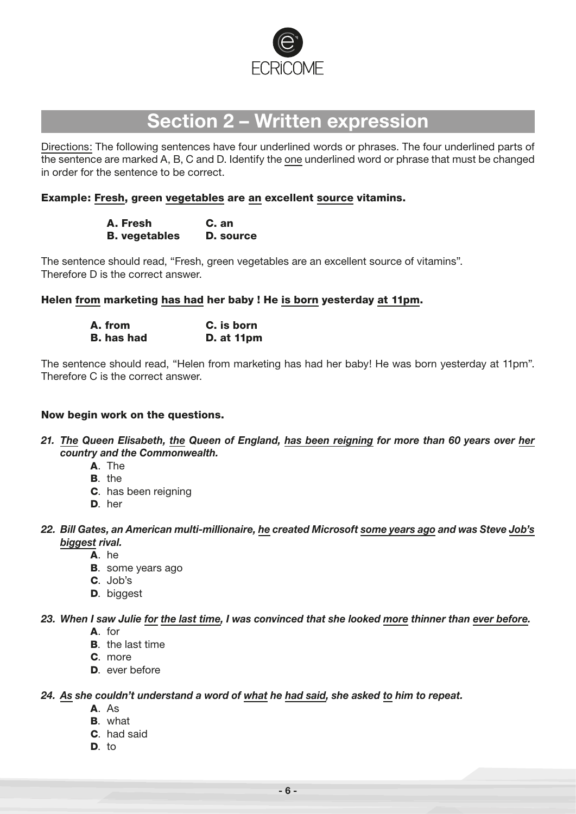

# **Section 2 – Written expression**

Directions: The following sentences have four underlined words or phrases. The four underlined parts of the sentence are marked A, B, C and D. Identify the one underlined word or phrase that must be changed in order for the sentence to be correct.

#### Example: Fresh, green vegetables are an excellent source vitamins.

| A. Fresh             | C. an     |
|----------------------|-----------|
| <b>B.</b> vegetables | D. source |

The sentence should read, "Fresh, green vegetables are an excellent source of vitamins". Therefore D is the correct answer.

Helen from marketing has had her baby ! He is born yesterday at 11pm.

| A. from           | C. is born        |  |  |  |
|-------------------|-------------------|--|--|--|
| <b>B.</b> has had | <b>D.</b> at 11pm |  |  |  |

The sentence should read, "Helen from marketing has had her baby! He was born yesterday at 11pm". Therefore C is the correct answer.

#### Now begin work on the questions.

- *21. The Queen Elisabeth, the Queen of England, has been reigning for more than 60 years over her country and the Commonwealth.*
	- A. The
	- B. the
	- C. has been reigning
	- D. her
- *22. Bill Gates, an American multi-millionaire, he created Microsoft some years ago and was Steve Job's biggest rival.*
	- A. he
	- **B.** some years ago
	- C. Job's
	- D. biggest

#### *23. When I saw Julie for the last time, I was convinced that she looked more thinner than ever before.*

- A. for
- B. the last time
- C. more
- D. ever before

#### *24. As she couldn't understand a word of what he had said, she asked to him to repeat.*

- A. As
- B. what
- C. had said
- D. to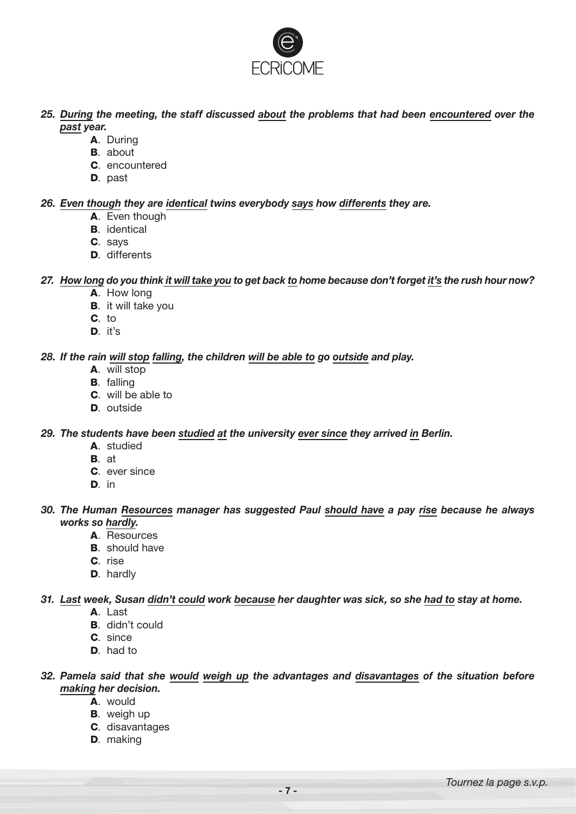

- *25. During the meeting, the staff discussed about the problems that had been encountered over the past year.*
	- A. During
	- B. about
	- C. encountered
	- D. past

#### *26. Even though they are identical twins everybody says how differents they are.*

- A. Even though
- **B.** identical
- C. says
- D. differents

#### *27. How long do you think it will take you to get back to home because don't forget it's the rush hour now?*

- A. How long
- **B.** it will take you
- C. to
- D. it's

#### *28. If the rain will stop falling, the children will be able to go outside and play.*

- A. will stop
- B. falling
- C. will be able to
- D. outside

#### *29. The students have been studied at the university ever since they arrived in Berlin.*

- A. studied
- B. at
- C. ever since
- D. in

#### *30. The Human Resources manager has suggested Paul should have a pay rise because he always works so hardly.*

- A. Resources
- **B.** should have
- C. rise
- D. hardly

#### *31. Last week, Susan didn't could work because her daughter was sick, so she had to stay at home.*

- A. Last
- B. didn't could
- C. since
- D. had to

#### *32. Pamela said that she would weigh up the advantages and disavantages of the situation before making her decision.*

- A. would
- **B.** weigh up
- C. disavantages
- D. making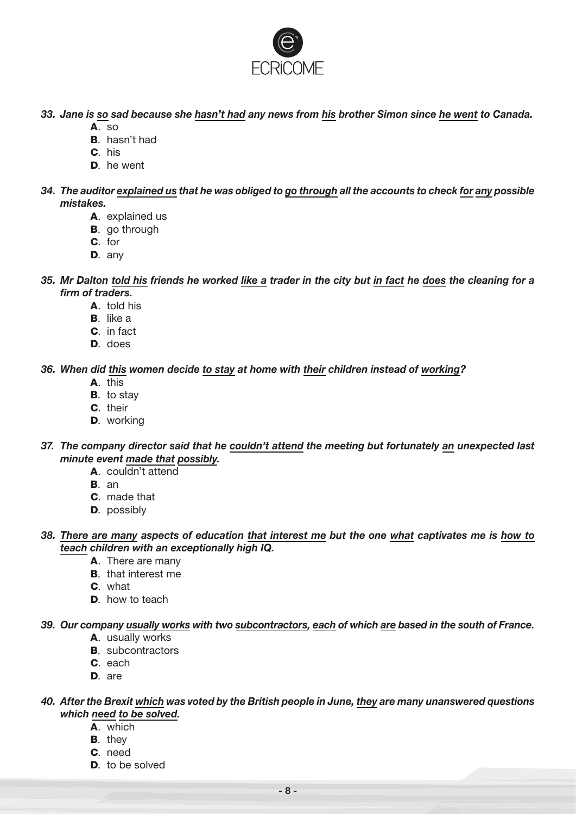

*33. Jane is so sad because she hasn't had any news from his brother Simon since he went to Canada.*

- A. so
- B. hasn't had
- C. his
- D. he went
- *34. The auditor explained us that he was obliged to go through all the accounts to check for any possible mistakes.*
	- A. explained us
	- B. go through
	- C. for
	- D. any
- *35. Mr Dalton told his friends he worked like a trader in the city but in fact he does the cleaning for a firm of traders.*
	- A. told his
	- B. like a
	- C. in fact
	- D. does

#### *36. When did this women decide to stay at home with their children instead of working?*

- A. this
- B. to stay
- C. their
- D. working
- *37. The company director said that he couldn't attend the meeting but fortunately an unexpected last minute event made that possibly.*
	- A. couldn't attend
	- B. an
	- C. made that
	- **D.** possibly
- *38. There are many aspects of education that interest me but the one what captivates me is how to teach children with an exceptionally high IQ.*
	- A. There are many
	- B. that interest me
	- C. what
	- D. how to teach

#### *39. Our company usually works with two subcontractors, each of which are based in the south of France.*

- A. usually works
- **B.** subcontractors
- C. each
- D. are

#### *40. After the Brexit which was voted by the British people in June, they are many unanswered questions which need to be solved.*

- A. which
- **B**. they
- C. need
- D. to be solved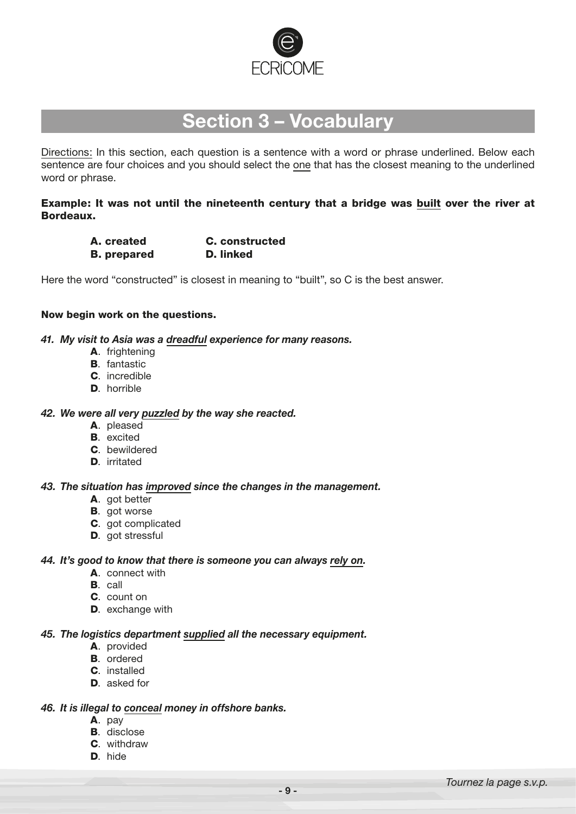

## **Section 3 – Vocabulary**

Directions: In this section, each question is a sentence with a word or phrase underlined. Below each sentence are four choices and you should select the one that has the closest meaning to the underlined word or phrase.

#### Example: It was not until the nineteenth century that a bridge was built over the river at Bordeaux.

| A. created         | <b>C.</b> constructed |
|--------------------|-----------------------|
| <b>B.</b> prepared | D. linked             |

Here the word "constructed" is closest in meaning to "built", so C is the best answer.

#### Now begin work on the questions.

#### *41. My visit to Asia was a dreadful experience for many reasons.*

- A. frightening
- B. fantastic
- C. incredible
- D. horrible

#### *42. We were all very puzzled by the way she reacted.*

- A. pleased
- **B.** excited
- C. bewildered
- D. irritated

#### *43. The situation has improved since the changes in the management.*

- A. got better
- **B.** got worse
- C. got complicated
- D. got stressful

#### *44. It's good to know that there is someone you can always rely on.*

- A. connect with
- B. call
- C. count on
- D. exchange with

#### *45. The logistics department supplied all the necessary equipment.*

- A. provided
- B. ordered
- C. installed
- D. asked for

#### *46. It is illegal to conceal money in offshore banks.*

- A. pay
- **B.** disclose
- C. withdraw
- D. hide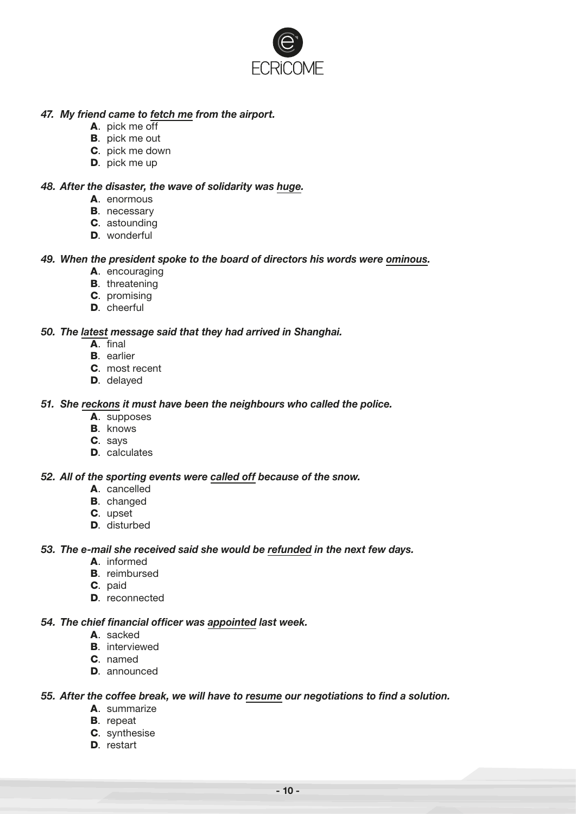

#### *47. My friend came to fetch me from the airport.*

- A. pick me off
- B. pick me out
- C. pick me down
- D. pick me up

#### *48. After the disaster, the wave of solidarity was huge.*

- **A** enormous
- **B.** necessary
- C. astounding
- **D.** wonderful

#### *49. When the president spoke to the board of directors his words were ominous.*

- A. encouraging
- **B.** threatening
- C. promising
- D. cheerful

#### *50. The latest message said that they had arrived in Shanghai.*

- A. final
- **B**. earlier
- C. most recent
- D. delayed

#### *51. She reckons it must have been the neighbours who called the police.*

- A. supposes
- **B.** knows
- C. says
- D. calculates

#### *52. All of the sporting events were called off because of the snow.*

- A. cancelled
- B. changed
- C. upset
- D. disturbed

#### *53. The e-mail she received said she would be refunded in the next few days.*

- A. informed
- B. reimbursed
- C. paid
- D. reconnected

#### *54. The chief financial officer was appointed last week.*

- A. sacked
- B. interviewed
- C. named
- D. announced

#### *55. After the coffee break, we will have to resume our negotiations to find a solution.*

- A. summarize
- B. repeat
- C. synthesise
- D. restart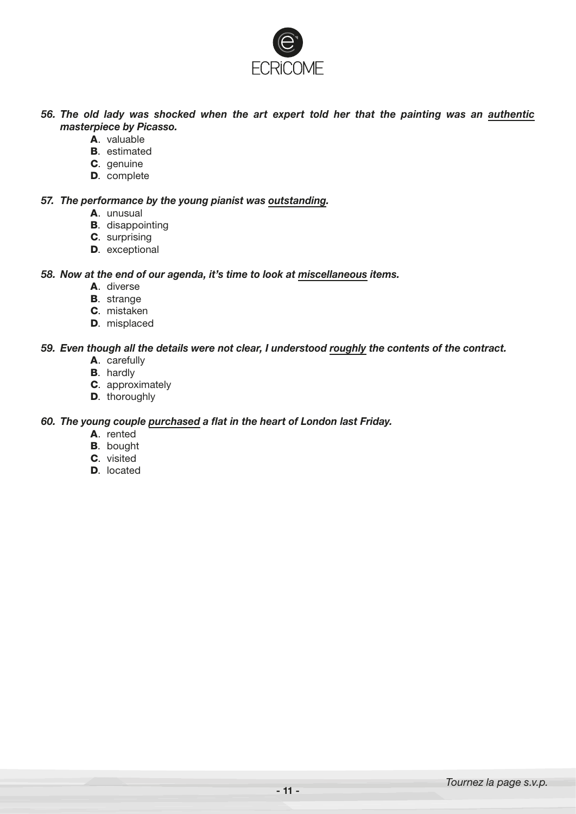

*56. The old lady was shocked when the art expert told her that the painting was an authentic masterpiece by Picasso.*

- A. valuable
- **B.** estimated
- C. genuine
- D. complete

#### *57. The performance by the young pianist was outstanding.*

- A. unusual
- **B.** disappointing
- C. surprising
- D. exceptional

#### *58. Now at the end of our agenda, it's time to look at miscellaneous items.*

- A. diverse
- **B.** strange
- C. mistaken
- D. misplaced

#### *59. Even though all the details were not clear, I understood roughly the contents of the contract.*

- A. carefully
- **B.** hardly
- C. approximately
- **D.** thoroughly

#### *60. The young couple purchased a flat in the heart of London last Friday.*

- A. rented
- B. bought
- C. visited
- D. located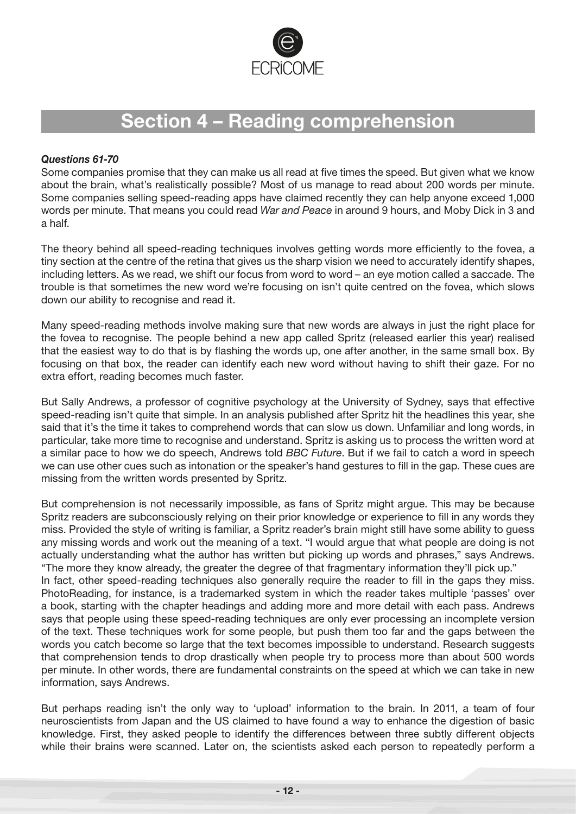

# **Section 4 – Reading comprehension**

#### *Questions 61-70*

Some companies promise that they can make us all read at five times the speed. But given what we know about the brain, what's realistically possible? Most of us manage to read about 200 words per minute. Some companies selling speed-reading apps have claimed recently they can help anyone exceed 1,000 words per minute. That means you could read *War and Peace* in around 9 hours, and Moby Dick in 3 and a half.

The theory behind all speed-reading techniques involves getting words more efficiently to the fovea, a tiny section at the centre of the retina that gives us the sharp vision we need to accurately identify shapes, including letters. As we read, we shift our focus from word to word – an eye motion called a saccade. The trouble is that sometimes the new word we're focusing on isn't quite centred on the fovea, which slows down our ability to recognise and read it.

Many speed-reading methods involve making sure that new words are always in just the right place for the fovea to recognise. The people behind a new app called Spritz (released earlier this year) realised that the easiest way to do that is by flashing the words up, one after another, in the same small box. By focusing on that box, the reader can identify each new word without having to shift their gaze. For no extra effort, reading becomes much faster.

But Sally Andrews, a professor of cognitive psychology at the University of Sydney, says that effective speed-reading isn't quite that simple. In an analysis published after Spritz hit the headlines this year, she said that it's the time it takes to comprehend words that can slow us down. Unfamiliar and long words, in particular, take more time to recognise and understand. Spritz is asking us to process the written word at a similar pace to how we do speech, Andrews told *BBC Future*. But if we fail to catch a word in speech we can use other cues such as intonation or the speaker's hand gestures to fill in the gap. These cues are missing from the written words presented by Spritz.

But comprehension is not necessarily impossible, as fans of Spritz might argue. This may be because Spritz readers are subconsciously relying on their prior knowledge or experience to fill in any words they miss. Provided the style of writing is familiar, a Spritz reader's brain might still have some ability to guess any missing words and work out the meaning of a text. "I would argue that what people are doing is not actually understanding what the author has written but picking up words and phrases," says Andrews. "The more they know already, the greater the degree of that fragmentary information they'll pick up." In fact, other speed-reading techniques also generally require the reader to fill in the gaps they miss. PhotoReading, for instance, is a trademarked system in which the reader takes multiple 'passes' over a book, starting with the chapter headings and adding more and more detail with each pass. Andrews says that people using these speed-reading techniques are only ever processing an incomplete version of the text. These techniques work for some people, but push them too far and the gaps between the words you catch become so large that the text becomes impossible to understand. Research suggests that comprehension tends to drop drastically when people try to process more than about 500 words per minute. In other words, there are fundamental constraints on the speed at which we can take in new information, says Andrews.

But perhaps reading isn't the only way to 'upload' information to the brain. In 2011, a team of four neuroscientists from Japan and the US claimed to have found a way to enhance the digestion of basic knowledge. First, they asked people to identify the differences between three subtly different objects while their brains were scanned. Later on, the scientists asked each person to repeatedly perform a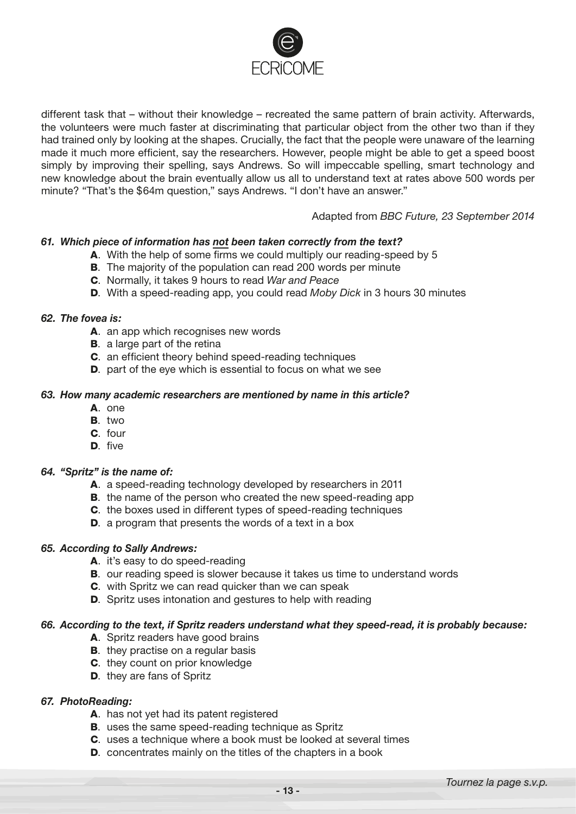

different task that – without their knowledge – recreated the same pattern of brain activity. Afterwards, the volunteers were much faster at discriminating that particular object from the other two than if they had trained only by looking at the shapes. Crucially, the fact that the people were unaware of the learning made it much more efficient, say the researchers. However, people might be able to get a speed boost simply by improving their spelling, says Andrews. So will impeccable spelling, smart technology and new knowledge about the brain eventually allow us all to understand text at rates above 500 words per minute? "That's the \$64m question," says Andrews. "I don't have an answer."

#### Adapted from *BBC Future, 23 September 2014*

#### *61. Which piece of information has not been taken correctly from the text?*

- A. With the help of some firms we could multiply our reading-speed by 5
- **B**. The majority of the population can read 200 words per minute
- C. Normally, it takes 9 hours to read *War and Peace*
- D. With a speed-reading app, you could read *Moby Dick* in 3 hours 30 minutes

#### *62. The fovea is:*

- A. an app which recognises new words
- **B.** a large part of the retina
- C. an efficient theory behind speed-reading techniques
- D. part of the eye which is essential to focus on what we see

#### *63. How many academic researchers are mentioned by name in this article?*

- A. one
- B. two
- C. four
- D. five

#### *64. "Spritz" is the name of:*

- A. a speed-reading technology developed by researchers in 2011
- **B.** the name of the person who created the new speed-reading app
- C. the boxes used in different types of speed-reading techniques
- D. a program that presents the words of a text in a box

#### *65. According to Sally Andrews:*

- A. it's easy to do speed-reading
- B. our reading speed is slower because it takes us time to understand words
- C. with Spritz we can read quicker than we can speak
- D. Spritz uses intonation and gestures to help with reading

#### *66. According to the text, if Spritz readers understand what they speed-read, it is probably because:*

- A. Spritz readers have good brains
- **B.** they practise on a regular basis
- C. they count on prior knowledge
- D. they are fans of Spritz

#### *67. PhotoReading:*

- A. has not yet had its patent registered
- **B.** uses the same speed-reading technique as Spritz
- C. uses a technique where a book must be looked at several times
- D. concentrates mainly on the titles of the chapters in a book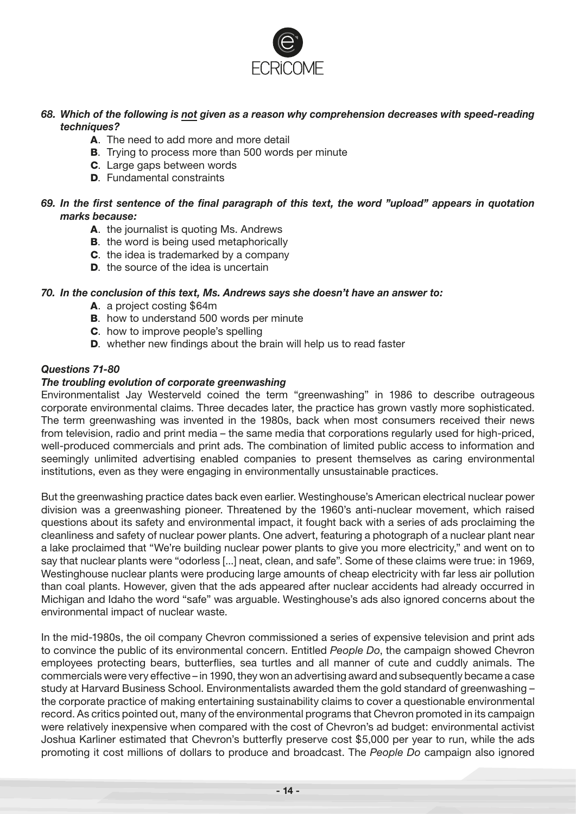

#### *68. Which of the following is not given as a reason why comprehension decreases with speed-reading techniques?*

- A. The need to add more and more detail
- **B**. Trying to process more than 500 words per minute
- **C.** Large gaps between words
- D. Fundamental constraints

#### *69. In the first sentence of the final paragraph of this text, the word "upload" appears in quotation marks because:*

- A. the journalist is quoting Ms. Andrews
- **B.** the word is being used metaphorically
- C. the idea is trademarked by a company
- **D.** the source of the idea is uncertain

#### *70. In the conclusion of this text, Ms. Andrews says she doesn't have an answer to:*

- A. a project costing \$64m
- **B.** how to understand 500 words per minute
- C. how to improve people's spelling
- D. whether new findings about the brain will help us to read faster

#### *Questions 71-80*

#### *The troubling evolution of corporate greenwashing*

Environmentalist Jay Westerveld coined the term "greenwashing" in 1986 to describe outrageous corporate environmental claims. Three decades later, the practice has grown vastly more sophisticated. The term greenwashing was invented in the 1980s, back when most consumers received their news from television, radio and print media – the same media that corporations regularly used for high-priced, well-produced commercials and print ads. The combination of limited public access to information and seemingly unlimited advertising enabled companies to present themselves as caring environmental institutions, even as they were engaging in environmentally unsustainable practices.

But the greenwashing practice dates back even earlier. Westinghouse's American electrical nuclear power division was a greenwashing pioneer. Threatened by the 1960's anti-nuclear movement, which raised questions about its safety and environmental impact, it fought back with a series of ads proclaiming the cleanliness and safety of nuclear power plants. One advert, featuring a photograph of a nuclear plant near a lake proclaimed that "We're building nuclear power plants to give you more electricity," and went on to say that nuclear plants were "odorless [...] neat, clean, and safe". Some of these claims were true: in 1969, Westinghouse nuclear plants were producing large amounts of cheap electricity with far less air pollution than coal plants. However, given that the ads appeared after nuclear accidents had already occurred in Michigan and Idaho the word "safe" was arguable. Westinghouse's ads also ignored concerns about the environmental impact of nuclear waste.

In the mid-1980s, the oil company Chevron commissioned a series of expensive television and print ads to convince the public of its environmental concern. Entitled *People Do*, the campaign showed Chevron employees protecting bears, butterflies, sea turtles and all manner of cute and cuddly animals. The commercials were very effective – in 1990, they won an advertising award and subsequently became a case study at Harvard Business School. Environmentalists awarded them the gold standard of greenwashing – the corporate practice of making entertaining sustainability claims to cover a questionable environmental record. As critics pointed out, many of the environmental programs that Chevron promoted in its campaign were relatively inexpensive when compared with the cost of Chevron's ad budget: environmental activist Joshua Karliner estimated that Chevron's butterfly preserve cost \$5,000 per year to run, while the ads promoting it cost millions of dollars to produce and broadcast. The *People Do* campaign also ignored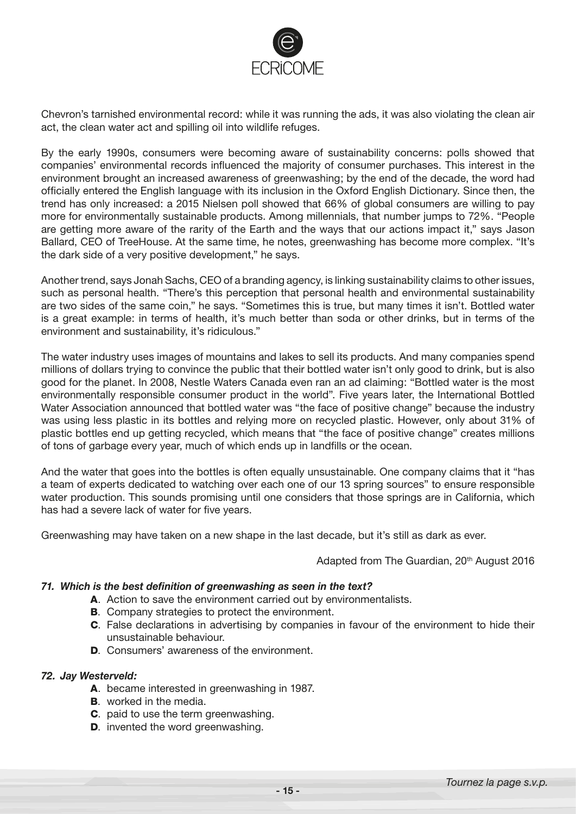

Chevron's tarnished environmental record: while it was running the ads, it was also violating the clean air act, the clean water act and spilling oil into wildlife refuges.

By the early 1990s, consumers were becoming aware of sustainability concerns: polls showed that companies' environmental records influenced the majority of consumer purchases. This interest in the environment brought an increased awareness of greenwashing; by the end of the decade, the word had officially entered the English language with its inclusion in the Oxford English Dictionary. Since then, the trend has only increased: a 2015 Nielsen poll showed that 66% of global consumers are willing to pay more for environmentally sustainable products. Among millennials, that number jumps to 72%. "People are getting more aware of the rarity of the Earth and the ways that our actions impact it," says Jason Ballard, CEO of TreeHouse. At the same time, he notes, greenwashing has become more complex. "It's the dark side of a very positive development," he says.

Another trend, says Jonah Sachs, CEO of a branding agency, is linking sustainability claims to other issues, such as personal health. "There's this perception that personal health and environmental sustainability are two sides of the same coin," he says. "Sometimes this is true, but many times it isn't. Bottled water is a great example: in terms of health, it's much better than soda or other drinks, but in terms of the environment and sustainability, it's ridiculous."

The water industry uses images of mountains and lakes to sell its products. And many companies spend millions of dollars trying to convince the public that their bottled water isn't only good to drink, but is also good for the planet. In 2008, Nestle Waters Canada even ran an ad claiming: "Bottled water is the most environmentally responsible consumer product in the world". Five years later, the International Bottled Water Association announced that bottled water was "the face of positive change" because the industry was using less plastic in its bottles and relying more on recycled plastic. However, only about 31% of plastic bottles end up getting recycled, which means that "the face of positive change" creates millions of tons of garbage every year, much of which ends up in landfills or the ocean.

And the water that goes into the bottles is often equally unsustainable. One company claims that it "has a team of experts dedicated to watching over each one of our 13 spring sources" to ensure responsible water production. This sounds promising until one considers that those springs are in California, which has had a severe lack of water for five years.

Greenwashing may have taken on a new shape in the last decade, but it's still as dark as ever.

Adapted from The Guardian, 20<sup>th</sup> August 2016

#### *71. Which is the best definition of greenwashing as seen in the text?*

- A. Action to save the environment carried out by environmentalists.
- B. Company strategies to protect the environment.
- C. False declarations in advertising by companies in favour of the environment to hide their unsustainable behaviour.
- D. Consumers' awareness of the environment.

#### *72. Jay Westerveld:*

- A. became interested in greenwashing in 1987.
- **B.** worked in the media.
- C. paid to use the term greenwashing.
- **D.** invented the word greenwashing.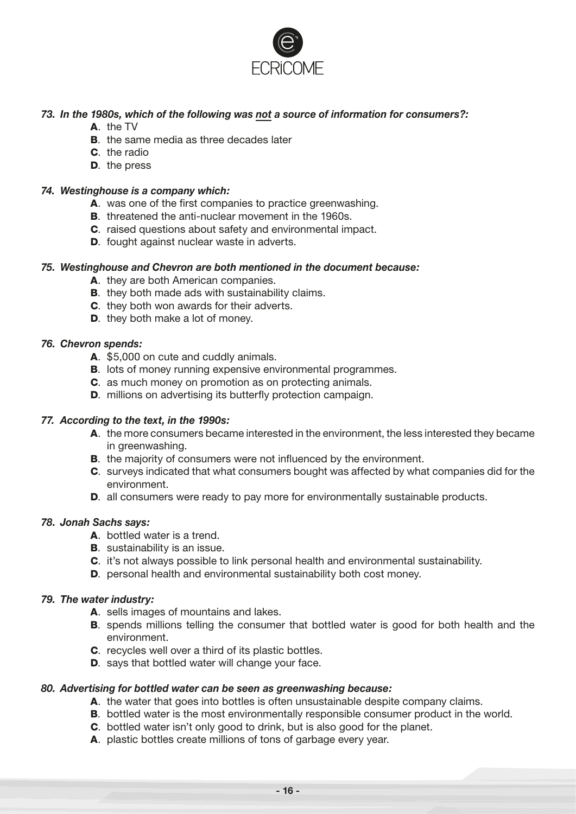

#### *73. In the 1980s, which of the following was not a source of information for consumers?:*

- A. the TV
- **B.** the same media as three decades later
- C. the radio
- D. the press

#### *74. Westinghouse is a company which:*

- A. was one of the first companies to practice greenwashing.
- B. threatened the anti-nuclear movement in the 1960s.
- C. raised questions about safety and environmental impact.
- D. fought against nuclear waste in adverts.

#### *75. Westinghouse and Chevron are both mentioned in the document because:*

- A. they are both American companies.
- **B.** they both made ads with sustainability claims.
- C. they both won awards for their adverts.
- D. they both make a lot of money.

#### *76. Chevron spends:*

- A. \$5,000 on cute and cuddly animals.
- **B.** lots of money running expensive environmental programmes.
- C. as much money on promotion as on protecting animals.
- D. millions on advertising its butterfly protection campaign.

#### *77. According to the text, in the 1990s:*

- A. the more consumers became interested in the environment, the less interested they became in greenwashing.
- **B.** the majority of consumers were not influenced by the environment.
- C. surveys indicated that what consumers bought was affected by what companies did for the environment.
- D. all consumers were ready to pay more for environmentally sustainable products.

#### *78. Jonah Sachs says:*

- A. bottled water is a trend.
- **B.** sustainability is an issue.
- C. it's not always possible to link personal health and environmental sustainability.
- D. personal health and environmental sustainability both cost money.

#### *79. The water industry:*

- A. sells images of mountains and lakes.
- **B.** spends millions telling the consumer that bottled water is good for both health and the environment.
- C. recycles well over a third of its plastic bottles.
- D. says that bottled water will change your face.

#### *80. Advertising for bottled water can be seen as greenwashing because:*

- A. the water that goes into bottles is often unsustainable despite company claims.
- **B.** bottled water is the most environmentally responsible consumer product in the world.
- C. bottled water isn't only good to drink, but is also good for the planet.
- A. plastic bottles create millions of tons of garbage every year.